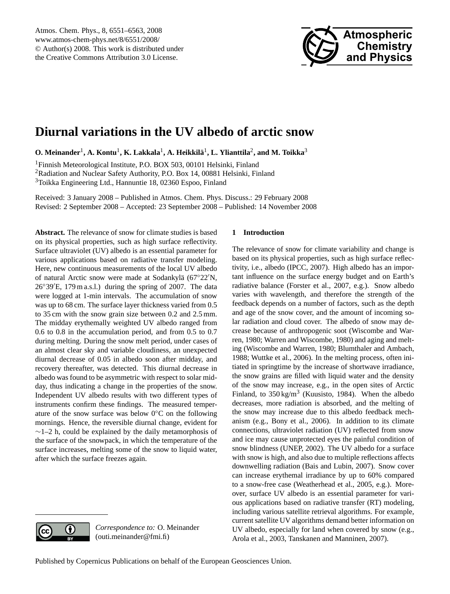

# <span id="page-0-0"></span>**Diurnal variations in the UV albedo of arctic snow**

 $\mathbf{O}.$  Meinander<sup>1</sup>, A. Kontu<sup>1</sup>, K. Lakkala<sup>1</sup>, A. Heikkilä<sup>1</sup>, L. Ylianttila<sup>2</sup>, and M. Toikka $^3$ 

<sup>1</sup>Finnish Meteorological Institute, P.O. BOX 503, 00101 Helsinki, Finland <sup>2</sup>Radiation and Nuclear Safety Authority, P.O. Box 14, 00881 Helsinki, Finland <sup>3</sup>Toikka Engineering Ltd., Hannuntie 18, 02360 Espoo, Finland

Received: 3 January 2008 – Published in Atmos. Chem. Phys. Discuss.: 29 February 2008 Revised: 2 September 2008 – Accepted: 23 September 2008 – Published: 14 November 2008

**Abstract.** The relevance of snow for climate studies is based on its physical properties, such as high surface reflectivity. Surface ultraviolet (UV) albedo is an essential parameter for various applications based on radiative transfer modeling. Here, new continuous measurements of the local UV albedo of natural Arctic snow were made at Sodankylä (67°22'N,  $26°39'E$ , 179 m a.s.l.) during the spring of 2007. The data were logged at 1-min intervals. The accumulation of snow was up to 68 cm. The surface layer thickness varied from 0.5 to 35 cm with the snow grain size between 0.2 and 2.5 mm. The midday erythemally weighted UV albedo ranged from 0.6 to 0.8 in the accumulation period, and from 0.5 to 0.7 during melting. During the snow melt period, under cases of an almost clear sky and variable cloudiness, an unexpected diurnal decrease of 0.05 in albedo soon after midday, and recovery thereafter, was detected. This diurnal decrease in albedo was found to be asymmetric with respect to solar midday, thus indicating a change in the properties of the snow. Independent UV albedo results with two different types of instruments confirm these findings. The measured temperature of the snow surface was below 0◦C on the following mornings. Hence, the reversible diurnal change, evident for  $\sim$ 1–2 h, could be explained by the daily metamorphosis of the surface of the snowpack, in which the temperature of the surface increases, melting some of the snow to liquid water, after which the surface freezes again.

# **1 Introduction**

The relevance of snow for climate variability and change is based on its physical properties, such as high surface reflectivity, i.e., albedo (IPCC, 2007). High albedo has an important influence on the surface energy budget and on Earth's radiative balance (Forster et al., 2007, e.g.). Snow albedo varies with wavelength, and therefore the strength of the feedback depends on a number of factors, such as the depth and age of the snow cover, and the amount of incoming solar radiation and cloud cover. The albedo of snow may decrease because of anthropogenic soot (Wiscombe and Warren, 1980; Warren and Wiscombe, 1980) and aging and melting (Wiscombe and Warren, 1980; Blumthaler and Ambach, 1988; Wuttke et al., 2006). In the melting process, often initiated in springtime by the increase of shortwave irradiance, the snow grains are filled with liquid water and the density of the snow may increase, e.g., in the open sites of Arctic Finland, to  $350 \text{ kg/m}^3$  (Kuusisto, 1984). When the albedo decreases, more radiation is absorbed, and the melting of the snow may increase due to this albedo feedback mechanism (e.g., Bony et al., 2006). In addition to its climate connections, ultraviolet radiation (UV) reflected from snow and ice may cause unprotected eyes the painful condition of snow blindness (UNEP, 2002). The UV albedo for a surface with snow is high, and also due to multiple reflections affects downwelling radiation (Bais and Lubin, 2007). Snow cover can increase erythemal irradiance by up to 60% compared to a snow-free case (Weatherhead et al., 2005, e.g.). Moreover, surface UV albedo is an essential parameter for various applications based on radiative transfer (RT) modeling, including various satellite retrieval algorithms. For example, current satellite UV algorithms demand better information on UV albedo, especially for land when covered by snow (e.g., Arola et al., 2003, Tanskanen and Manninen, 2007).

*Correspondence to:* O. Meinander

(outi.meinander@fmi.fi)

0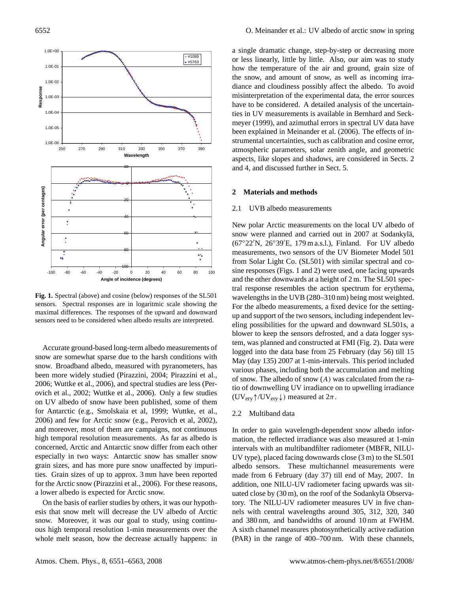

**Fig. 1.** Spectral (above) and cosine (below) responses of the SL501 sensors. Spectral responses are in logaritmic scale showing the maximal differences. The responses of the upward and downward sensors need to be considered when albedo results are interpreted.

Accurate ground-based long-term albedo measurements of snow are somewhat sparse due to the harsh conditions with snow. Broadband albedo, measured with pyranometers, has been more widely studied (Pirazzini, 2004; Pirazzini et al., 2006; Wuttke et al., 2006), and spectral studies are less (Perovich et al., 2002; Wuttke et al., 2006). Only a few studies on UV albedo of snow have been published, some of them for Antarctic (e.g., Smolskaia et al, 1999; Wuttke, et al., 2006) and few for Arctic snow (e.g., Perovich et al, 2002), and moreover, most of them are campaigns, not continuous high temporal resolution measurements. As far as albedo is concerned, Arctic and Antarctic snow differ from each other especially in two ways: Antarctic snow has smaller snow grain sizes, and has more pure snow unaffected by impurities. Grain sizes of up to approx. 3 mm have been reported for the Arctic snow (Pirazzini et al., 2006). For these reasons, a lower albedo is expected for Arctic snow.

On the basis of earlier studies by others, it was our hypothesis that snow melt will decrease the UV albedo of Arctic snow. Moreover, it was our goal to study, using continuous high temporal resolution 1-min measurements over the whole melt season, how the decrease actually happens: in a single dramatic change, step-by-step or decreasing more or less linearly, little by little. Also, our aim was to study how the temperature of the air and ground, grain size of the snow, and amount of snow, as well as incoming irradiance and cloudiness possibly affect the albedo. To avoid misinterpretation of the experimental data, the error sources have to be considered. A detailed analysis of the uncertainties in UV measurements is available in Bernhard and Seckmeyer (1999), and azimuthal errors in spectral UV data have been explained in Meinander et al. (2006). The effects of instrumental uncertainties, such as calibration and cosine error, atmospheric parameters, solar zenith angle, and geometric aspects, like slopes and shadows, are considered in Sects. 2 and 4, and discussed further in Sect. 5.

## **2 Materials and methods**

## 2.1 UVB albedo measurements

New polar Arctic measurements on the local UV albedo of snow were planned and carried out in 2007 at Sodankylä,  $(67°22'N, 26°39'E, 179 m a.s.l.), Finland. For UV albedo$ measurements, two sensors of the UV Biometer Model 501 from Solar Light Co. (SL501) with similar spectral and cosine responses (Figs. 1 and 2) were used, one facing upwards and the other downwards at a height of 2 m. The SL501 spectral response resembles the action spectrum for erythema, wavelengths in the UVB (280–310 nm) being most weighted. For the albedo measurements, a fixed device for the settingup and support of the two sensors, including independent leveling possibilities for the upward and downward SL501s, a blower to keep the sensors defrosted, and a data logger system, was planned and constructed at FMI (Fig. 2). Data were logged into the data base from 25 February (day 56) till 15 May (day 135) 2007 at 1-min-intervals. This period included various phases, including both the accumulation and melting of snow. The albedo of snow  $(A)$  was calculated from the ratio of downwelling UV irradiance on to upwelling irradiance  $(UV_{\text{erv}} \uparrow / UV_{\text{erv}} \downarrow)$  measured at  $2\pi$ .

#### 2.2 Multiband data

In order to gain wavelength-dependent snow albedo information, the reflected irradiance was also measured at 1-min intervals with an multibandfilter radiometer (MBFR, NILU-UV type), placed facing downwards close (3 m) to the SL501 albedo sensors. These multichannel measurements were made from 6 February (day 37) till end of May, 2007. In addition, one NILU-UV radiometer facing upwards was situated close by  $(30 \text{ m})$ , on the roof of the Sodankylä Observatory. The NILU-UV radiometer measures UV in five channels with central wavelengths around 305, 312, 320, 340 and 380 nm, and bandwidths of around 10 nm at FWHM. A sixth channel measures photosynthetically active radiation (PAR) in the range of 400–700 nm. With these channels,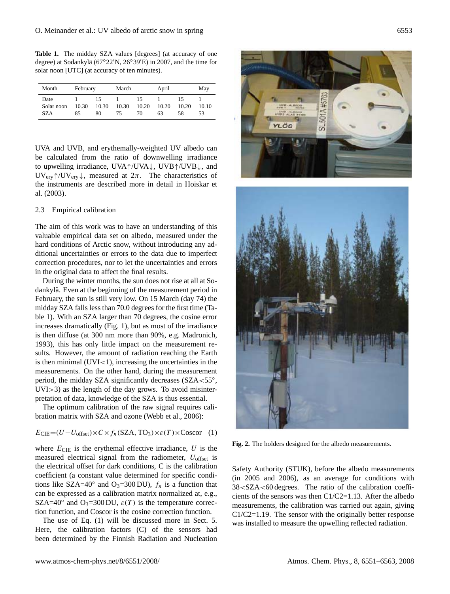**Table 1.** The midday SZA values [degrees] (at accuracy of one degree) at Sodankylä (67°22'N, 26°39'E) in 2007, and the time for solar noon [UTC] (at accuracy of ten minutes).

| Month                     | February    |                   | March       |                   | April       |                   | May         |
|---------------------------|-------------|-------------------|-------------|-------------------|-------------|-------------------|-------------|
| Date<br>Solar noon<br>SZA | 10.30<br>85 | 15<br>10.30<br>80 | 10.30<br>75 | 15<br>10.20<br>70 | 10.20<br>63 | 15<br>10.20<br>58 | 10.10<br>53 |

UVA and UVB, and erythemally-weighted UV albedo can be calculated from the ratio of downwelling irradiance to upwelling irradiance, UVA↑/UVA↓, UVB↑/UVB↓, and UV<sub>ery</sub> $\uparrow$ /UV<sub>ery</sub> $\downarrow$ , measured at  $2\pi$ . The characteristics of the instruments are described more in detail in Hoiskar et al. (2003).

## 2.3 Empirical calibration

The aim of this work was to have an understanding of this valuable empirical data set on albedo, measured under the hard conditions of Arctic snow, without introducing any additional uncertainties or errors to the data due to imperfect correction procedures, nor to let the uncertainties and errors in the original data to affect the final results.

During the winter months, the sun does not rise at all at Sodankylä. Even at the beginning of the measurement period in February, the sun is still very low. On 15 March (day 74) the midday SZA falls less than 70.0 degrees for the first time (Table 1). With an SZA larger than 70 degrees, the cosine error increases dramatically (Fig. 1), but as most of the irradiance is then diffuse (at 300 nm more than 90%, e.g. Madronich, 1993), this has only little impact on the measurement results. However, the amount of radiation reaching the Earth is then minimal  $(UVI < 1)$ , increasing the uncertainties in the measurements. On the other hand, during the measurement period, the midday SZA significantly decreases (SZA<55°, UVI>3) as the length of the day grows. To avoid misinterpretation of data, knowledge of the SZA is thus essential.

The optimum calibration of the raw signal requires calibration matrix with SZA and ozone (Webb et al., 2006):

$$
E_{\text{CIE}} = (U - U_{\text{offset}}) \times C \times f_n(\text{SZA}, \text{TO}_3) \times \varepsilon(T) \times \text{Coscor} \quad (1)
$$

where  $E_{\text{CIE}}$  is the erythemal effective irradiance, U is the measured electrical signal from the radiometer,  $U_{\text{offset}}$  is the electrical offset for dark conditions, C is the calibration coefficient (a constant value determined for specific conditions like SZA=40° and O<sub>3</sub>=300 DU),  $f_n$  is a function that can be expressed as a calibration matrix normalized at, e.g., SZA=40° and O<sub>3</sub>=300 DU,  $\varepsilon(T)$  is the temperature correction function, and Coscor is the cosine correction function.

The use of Eq. (1) will be discussed more in Sect. 5. Here, the calibration factors (C) of the sensors had been determined by the Finnish Radiation and Nucleation





**Fig. 2.** The holders designed for the albedo measurements.

Safety Authority (STUK), before the albedo measurements (in 2005 and 2006), as an average for conditions with 38<SZA<60 degrees. The ratio of the calibration coefficients of the sensors was then C1/C2=1.13. After the albedo measurements, the calibration was carried out again, giving C1/C2=1.19. The sensor with the originally better response was installed to measure the upwelling reflected radiation.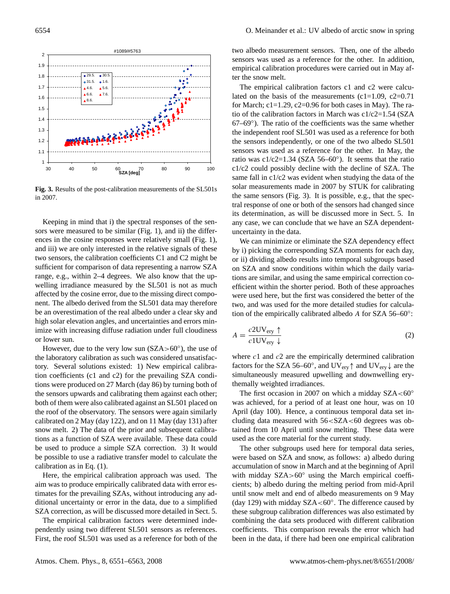

**Fig. 3.** Results of the post-calibration measurements of the SL501s in 2007.

Keeping in mind that i) the spectral responses of the sensors were measured to be similar (Fig. 1), and ii) the differences in the cosine responses were relatively small (Fig. 1), and iii) we are only interested in the relative signals of these two sensors, the calibration coefficients C1 and C2 might be sufficient for comparison of data representing a narrow SZA range, e.g., within 2–4 degrees. We also know that the upwelling irradiance measured by the SL501 is not as much affected by the cosine error, due to the missing direct component. The albedo derived from the SL501 data may therefore be an overestimation of the real albedo under a clear sky and high solar elevation angles, and uncertainties and errors minimize with increasing diffuse radiation under full cloudiness or lower sun.

However, due to the very low sun  $(SZA>60^\circ)$ , the use of the laboratory calibration as such was considered unsatisfactory. Several solutions existed: 1) New empirical calibration coefficients (c1 and c2) for the prevailing SZA conditions were produced on 27 March (day 86) by turning both of the sensors upwards and calibrating them against each other; both of them were also calibrated against an SL501 placed on the roof of the observatory. The sensors were again similarly calibrated on 2 May (day 122), and on 11 May (day 131) after snow melt. 2) The data of the prior and subsequent calibrations as a function of SZA were available. These data could be used to produce a simple SZA correction. 3) It would be possible to use a radiative transfer model to calculate the calibration as in Eq. (1).

Here, the empirical calibration approach was used. The aim was to produce empirically calibrated data with error estimates for the prevailing SZAs, without introducing any additional uncertainty or error in the data, due to a simplified SZA correction, as will be discussed more detailed in Sect. 5.

The empirical calibration factors were determined independently using two different SL501 sensors as references. First, the roof SL501 was used as a reference for both of the two albedo measurement sensors. Then, one of the albedo sensors was used as a reference for the other. In addition, empirical calibration procedures were carried out in May after the snow melt.

The empirical calibration factors c1 and c2 were calculated on the basis of the measurements (c1=1.09, c2=0.71) for March;  $c1=1.29$ ,  $c2=0.96$  for both cases in May). The ratio of the calibration factors in March was c1/c2=1.54 (SZA 67–69◦ ). The ratio of the coefficients was the same whether the independent roof SL501 was used as a reference for both the sensors independently, or one of the two albedo SL501 sensors was used as a reference for the other. In May, the ratio was  $c1/c2=1.34$  (SZA 56–60 $°$ ). It seems that the ratio c1/c2 could possibly decline with the decline of SZA. The same fall in c1/c2 was evident when studying the data of the solar measurements made in 2007 by STUK for calibrating the same sensors (Fig. 3). It is possible, e.g., that the spectral response of one or both of the sensors had changed since its determination, as will be discussed more in Sect. 5. In any case, we can conclude that we have an SZA dependentuncertainty in the data.

We can minimize or eliminate the SZA dependency effect by i) picking the corresponding SZA moments for each day, or ii) dividing albedo results into temporal subgroups based on SZA and snow conditions within which the daily variations are similar, and using the same empirical correction coefficient within the shorter period. Both of these approaches were used here, but the first was considered the better of the two, and was used for the more detailed studies for calculation of the empirically calibrated albedo A for SZA 56-60°:

$$
A = \frac{c2UV_{\text{ery}} \uparrow}{c1UV_{\text{ery}} \downarrow}
$$
 (2)

where  $c1$  and  $c2$  are the empirically determined calibration factors for the SZA 56–60°, and UV<sub>ery</sub>  $\uparrow$  and UV<sub>ery</sub>  $\downarrow$  are the simultaneously measured upwelling and downwelling erythemally weighted irradiances.

The first occasion in 2007 on which a midday  $SZA < 60^\circ$ was achieved, for a period of at least one hour, was on 10 April (day 100). Hence, a continuous temporal data set including data measured with  $56 < S ZA < 60$  degrees was obtained from 10 April until snow melting. These data were used as the core material for the current study.

The other subgroups used here for temporal data series, were based on SZA and snow, as follows: a) albedo during accumulation of snow in March and at the beginning of April with midday  $SZA > 60^\circ$  using the March empirical coefficients; b) albedo during the melting period from mid-April until snow melt and end of albedo measurements on 9 May (day 129) with midday SZA<60◦ . The difference caused by these subgroup calibration differences was also estimated by combining the data sets produced with different calibration coefficients. This comparison reveals the error which had been in the data, if there had been one empirical calibration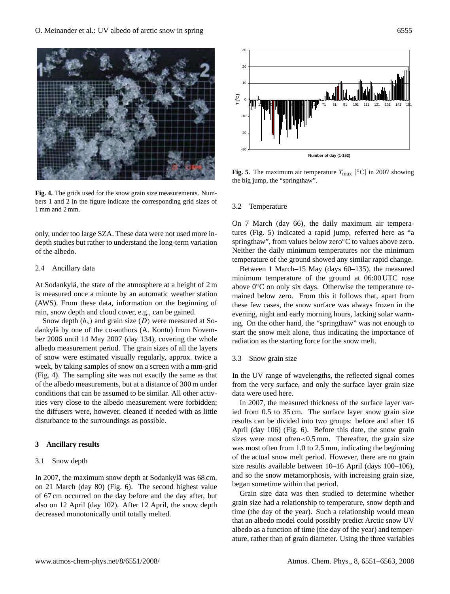

**Fig. 4.** The grids used for the snow grain size measurements. Numbers 1 and 2 in the figure indicate the corresponding grid sizes of 1 mm and 2 mm.

only, under too large SZA. These data were not used more indepth studies but rather to understand the long-term variation of the albedo.

## 2.4 Ancillary data

At Sodankylä, the state of the atmosphere at a height of  $2 \text{ m}$ is measured once a minute by an automatic weather station (AWS). From these data, information on the beginning of rain, snow depth and cloud cover, e.g., can be gained.

Snow depth  $(h<sub>s</sub>)$  and grain size  $(D)$  were measured at Sodankylä by one of the co-authors (A. Kontu) from November 2006 until 14 May 2007 (day 134), covering the whole albedo measurement period. The grain sizes of all the layers of snow were estimated visually regularly, approx. twice a week, by taking samples of snow on a screen with a mm-grid (Fig. 4). The sampling site was not exactly the same as that of the albedo measurements, but at a distance of 300 m under conditions that can be assumed to be similar. All other activities very close to the albedo measurement were forbidden; the diffusers were, however, cleaned if needed with as little disturbance to the surroundings as possible. **Example 19**<br>
Fig. 1. The grids used for the snow grain size measurements. Numbers 1 and 2 in the figure indicate the corresponding grid sizes of 1 mm and 2 mm.<br>
Surface 1 and 2 mm.<br>
Surface SZA. These data were not used

#### **3 Ancillary results**

#### 3.1 Snow depth

In 2007, the maximum snow depth at Sodankylä was 68 cm, on 21 March (day 80) (Fig. 6). The second highest value of 67 cm occurred on the day before and the day after, but also on 12 April (day 102). After 12 April, the snow depth



**Fig. 5.** The maximum air temperature  $T_{\text{max}}$  [°C] in 2007 showing the big jump, the "springthaw".

#### 3.2 Temperature

On 7 March (day 66), the daily maximum air temperatures (Fig. 5) indicated a rapid jump, referred here as "a springthaw", from values below zero℃ to values above zero. Neither the daily minimum temperatures nor the minimum temperature of the ground showed any similar rapid change.

Between 1 March–15 May (days 60–135), the measured minimum temperature of the ground at 06:00 UTC rose above 0◦C on only six days. Otherwise the temperature remained below zero. From this it follows that, apart from these few cases, the snow surface was always frozen in the evening, night and early morning hours, lacking solar warming. On the other hand, the "springthaw" was not enough to start the snow melt alone, thus indicating the importance of radiation as the starting force for the snow melt.

#### 3.3 Snow grain size

In the UV range of wavelengths, the reflected signal comes from the very surface, and only the surface layer grain size data were used here.

In 2007, the measured thickness of the surface layer varied from 0.5 to 35 cm. The surface layer snow grain size results can be divided into two groups: before and after 16 April (day 106) (Fig. 6). Before this date, the snow grain sizes were most often $< 0.5$  mm. Thereafter, the grain size was most often from 1.0 to 2.5 mm, indicating the beginning of the actual snow melt period. However, there are no grain size results available between 10–16 April (days 100–106), and so the snow metamorphosis, with increasing grain size, began sometime within that period.

Grain size data was then studied to determine whether grain size had a relationship to temperature, snow depth and time (the day of the year). Such a relationship would mean that an albedo model could possibly predict Arctic snow UV albedo as a function of time (the day of the year) and temperature, rather than of grain diameter. Using the three variables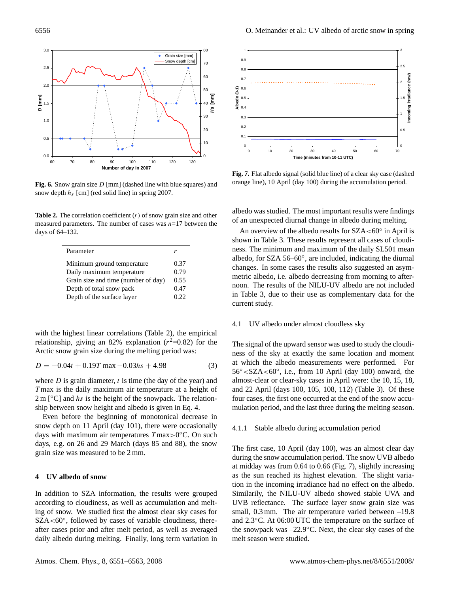

**Fig. 6.** Snow grain size D [mm] (dashed line with blue squares) and snow depth  $h_s$  [cm] (red solid line) in spring 2007.

**Table 2.** The correlation coefficient  $(r)$  of snow grain size and other measured parameters. The number of cases was  $n=17$  between the days of 64–132.

| Parameter                           | r    |
|-------------------------------------|------|
| Minimum ground temperature          | 0.37 |
| Daily maximum temperature           | 0.79 |
| Grain size and time (number of day) | 0.55 |
| Depth of total snow pack            | 0.47 |
| Depth of the surface layer          | 0.22 |

with the highest linear correlations (Table 2), the empirical relationship, giving an 82% explanation  $(r^2=0.82)$  for the Arctic snow grain size during the melting period was:

$$
D = -0.04t + 0.19T \max -0.03hs + 4.98
$$
 (3)

where  $D$  is grain diameter,  $t$  is time (the day of the year) and T max is the daily maximum air temperature at a height of  $2 \text{ m}$  [ $\text{°C}$ ] and hs is the height of the snowpack. The relationship between snow height and albedo is given in Eq. 4.

Even before the beginning of monotonical decrease in snow depth on 11 April (day 101), there were occasionally days with maximum air temperatures  $T$ max>0°C. On such days, e.g. on 26 and 29 March (days 85 and 88), the snow grain size was measured to be 2 mm.

## **4 UV albedo of snow**

In addition to SZA information, the results were grouped according to cloudiness, as well as accumulation and melting of snow. We studied first the almost clear sky cases for SZA<60°, followed by cases of variable cloudiness, thereafter cases prior and after melt period, as well as averaged daily albedo during melting. Finally, long term variation in



**Fig. 7.** Flat albedo signal (solid blue line) of a clear sky case (dashed orange line), 10 April (day 100) during the accumulation period.

albedo was studied. The most important results were findings of an unexpected diurnal change in albedo during melting.

An overview of the albedo results for  $SZA < 60^\circ$  in April is shown in Table 3. These results represent all cases of cloudiness. The minimum and maximum of the daily SL501 mean albedo, for SZA 56–60◦ , are included, indicating the diurnal changes. In some cases the results also suggested an asymmetric albedo, i.e. albedo decreasing from morning to afternoon. The results of the NILU-UV albedo are not included in Table 3, due to their use as complementary data for the current study.

#### 4.1 UV albedo under almost cloudless sky

The signal of the upward sensor was used to study the cloudiness of the sky at exactly the same location and moment at which the albedo measurements were performed. For 56° < SZA < 60°, i.e., from 10 April (day 100) onward, the almost-clear or clear-sky cases in April were: the 10, 15, 18, and 22 April (days 100, 105, 108, 112) (Table 3). Of these four cases, the first one occurred at the end of the snow accumulation period, and the last three during the melting season.

## 4.1.1 Stable albedo during accumulation period

The first case, 10 April (day 100), was an almost clear day during the snow accumulation period. The snow UVB albedo at midday was from 0.64 to 0.66 (Fig. 7), slightly increasing as the sun reached its highest elevation. The slight variation in the incoming irradiance had no effect on the albedo. Similarily, the NILU-UV albedo showed stable UVA and UVB reflectance. The surface layer snow grain size was small, 0.3 mm. The air temperature varied between  $-19.8$ and 2.3◦C. At 06:00 UTC the temperature on the surface of the snowpack was –22.9◦C. Next, the clear sky cases of the melt season were studied.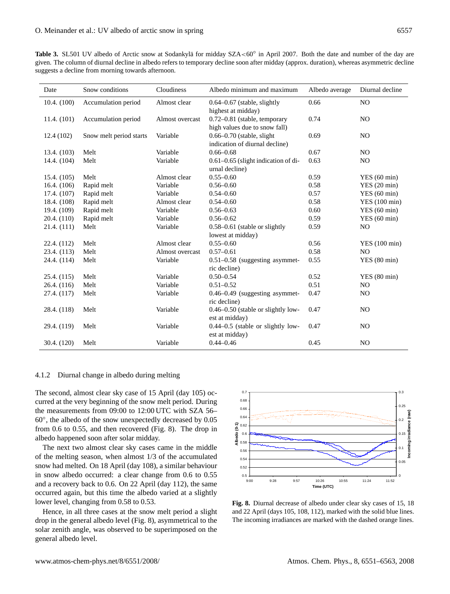| <b>Table 3.</b> SL501 UV albedo of Arctic snow at Sodankylä for midday $SZA<60^{\circ}$ in April 2007. Both the date and number of the day are |
|------------------------------------------------------------------------------------------------------------------------------------------------|
| given. The column of diurnal decline in albedo refers to temporary decline soon after midday (approx. duration), whereas asymmetric decline    |
| suggests a decline from morning towards afternoon.                                                                                             |

| Date          | Snow conditions         | Cloudiness      | Albedo minimum and maximum              | Albedo average | Diurnal decline |
|---------------|-------------------------|-----------------|-----------------------------------------|----------------|-----------------|
| 10.4. (100)   | Accumulation period     | Almost clear    | $0.64 - 0.67$ (stable, slightly         | 0.66           | N <sub>O</sub>  |
|               |                         |                 | highest at midday)                      |                |                 |
| 11.4. (101)   | Accumulation period     | Almost overcast | 0.72-0.81 (stable, temporary            | 0.74           | NO.             |
|               |                         |                 | high values due to snow fall)           |                |                 |
| 12.4(102)     | Snow melt period starts | Variable        | $0.66 - 0.70$ (stable, slight           | 0.69           | NO.             |
|               |                         |                 | indication of diurnal decline)          |                |                 |
| 13.4. (103)   | Melt                    | Variable        | $0.66 - 0.68$                           | 0.67           | NO.             |
| 14.4. (104)   | Melt                    | Variable        | $0.61 - 0.65$ (slight indication of di- | 0.63           | NO.             |
|               |                         |                 | urnal decline)                          |                |                 |
| 15.4. (105)   | Melt                    | Almost clear    | $0.55 - 0.60$                           | 0.59           | YES(60 min)     |
| 16.4. $(106)$ | Rapid melt              | Variable        | $0.56 - 0.60$                           | 0.58           | YES(20 min)     |
| 17.4. (107)   | Rapid melt              | Variable        | $0.54 - 0.60$                           | 0.57           | YES(60 min)     |
| 18.4. (108)   | Rapid melt              | Almost clear    | $0.54 - 0.60$                           | 0.58           | YES (100 min)   |
| 19.4. (109)   | Rapid melt              | Variable        | $0.56 - 0.63$                           | 0.60           | YES(60 min)     |
| 20.4. $(110)$ | Rapid melt              | Variable        | $0.56 - 0.62$                           | 0.59           | YES(60 min)     |
| 21.4. (111)   | Melt                    | Variable        | 0.58–0.61 (stable or slightly           | 0.59           | N <sub>O</sub>  |
|               |                         |                 | lowest at midday)                       |                |                 |
| 22.4. (112)   | Melt                    | Almost clear    | $0.55 - 0.60$                           | 0.56           | YES (100 min)   |
| 23.4. (113)   | Melt                    | Almost overcast | $0.57 - 0.61$                           | 0.58           | N <sub>O</sub>  |
| 24.4. (114)   | Melt                    | Variable        | $0.51 - 0.58$ (suggesting asymmet-      | 0.55           | YES(80 min)     |
|               |                         |                 | ric decline)                            |                |                 |
| 25.4. (115)   | Melt                    | Variable        | $0.50 - 0.54$                           | 0.52           | YES(80 min)     |
| 26.4. (116)   | Melt                    | Variable        | $0.51 - 0.52$                           | 0.51           | N <sub>O</sub>  |
| 27.4. (117)   | Melt                    | Variable        | $0.46 - 0.49$ (suggesting asymmet-      | 0.47           | NO.             |
|               |                         |                 | ric decline)                            |                |                 |
| 28.4. (118)   | Melt                    | Variable        | 0.46–0.50 (stable or slightly low-      | 0.47           | N <sub>O</sub>  |
|               |                         |                 | est at midday)                          |                |                 |
| 29.4. (119)   | Melt                    | Variable        | $0.44 - 0.5$ (stable or slightly low-   | 0.47           | NO.             |
|               |                         |                 | est at midday)                          |                |                 |
| 30.4. (120)   | Melt                    | Variable        | $0.44 - 0.46$                           | 0.45           | N <sub>O</sub>  |

# 4.1.2 Diurnal change in albedo during melting

The second, almost clear sky case of 15 April (day 105) occurred at the very beginning of the snow melt period. During the measurements from 09:00 to 12:00 UTC with SZA 56– 60◦ , the albedo of the snow unexpectedly decreased by 0.05 from 0.6 to 0.55, and then recovered (Fig. 8). The drop in albedo happened soon after solar midday.

The next two almost clear sky cases came in the middle of the melting season, when almost 1/3 of the accumulated snow had melted. On 18 April (day 108), a similar behaviour in snow albedo occurred: a clear change from 0.6 to 0.55 and a recovery back to 0.6. On 22 April (day 112), the same occurred again, but this time the albedo varied at a slightly lower level, changing from 0.58 to 0.53.

Hence, in all three cases at the snow melt period a slight drop in the general albedo level (Fig. 8), asymmetrical to the solar zenith angle, was observed to be superimposed on the general albedo level.



**Fig. 8.** Diurnal decrease of albedo under clear sky cases of 15, 18 and 22 April (days 105, 108, 112), marked with the solid blue lines. The incoming irradiances are marked with the dashed orange lines.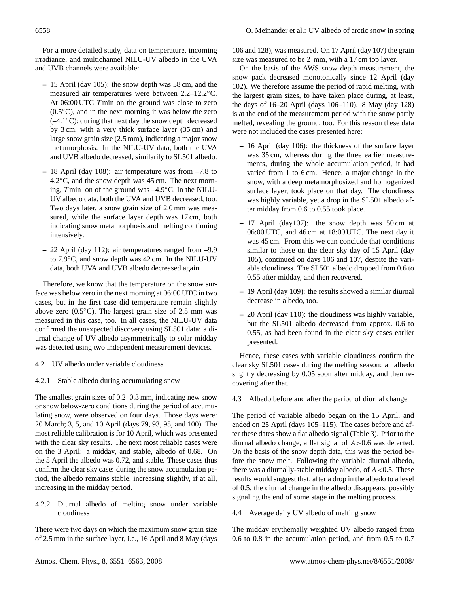For a more detailed study, data on temperature, incoming irradiance, and multichannel NILU-UV albedo in the UVA and UVB channels were available:

- **–** 15 April (day 105): the snow depth was 58 cm, and the measured air temperatures were between 2.2–12.2◦C. At 06:00 UTC T min on the ground was close to zero  $(0.5<sup>°</sup>C)$ , and in the next morning it was below the zero (–4.1◦C); during that next day the snow depth decreased by 3 cm, with a very thick surface layer (35 cm) and large snow grain size (2.5 mm), indicating a major snow metamorphosis. In the NILU-UV data, both the UVA and UVB albedo decreased, similarily to SL501 albedo.
- **–** 18 April (day 108): air temperature was from –7.8 to 4.2 $\degree$ C, and the snow depth was 45 cm. The next morning, T min on of the ground was  $-4.9°C$ . In the NILU-UV albedo data, both the UVA and UVB decreased, too. Two days later, a snow grain size of 2.0 mm was measured, while the surface layer depth was 17 cm, both indicating snow metamorphosis and melting continuing intensively.
- **–** 22 April (day 112): air temperatures ranged from –9.9 to 7.9◦C, and snow depth was 42 cm. In the NILU-UV data, both UVA and UVB albedo decreased again.

Therefore, we know that the temperature on the snow surface was below zero in the next morning at 06:00 UTC in two cases, but in the first case did temperature remain slightly above zero (0.5◦C). The largest grain size of 2.5 mm was measured in this case, too. In all cases, the NILU-UV data confirmed the unexpected discovery using SL501 data: a diurnal change of UV albedo asymmetrically to solar midday was detected using two independent measurement devices.

- 4.2 UV albedo under variable cloudiness
- 4.2.1 Stable albedo during accumulating snow

The smallest grain sizes of 0.2–0.3 mm, indicating new snow or snow below-zero conditions during the period of accumulating snow, were observed on four days. Those days were: 20 March; 3, 5, and 10 April (days 79, 93, 95, and 100). The most reliable calibration is for 10 April, which was presented with the clear sky results. The next most reliable cases were on the 3 April: a midday, and stable, albedo of 0.68. On the 5 April the albedo was 0.72, and stable. These cases thus confirm the clear sky case: during the snow accumulation period, the albedo remains stable, increasing slightly, if at all, increasing in the midday period.

4.2.2 Diurnal albedo of melting snow under variable cloudiness

There were two days on which the maximum snow grain size of 2.5 mm in the surface layer, i.e., 16 April and 8 May (days

106 and 128), was measured. On 17 April (day 107) the grain size was measured to be 2 mm, with a 17 cm top layer.

On the basis of the AWS snow depth measurement, the snow pack decreased monotonically since 12 April (day 102). We therefore assume the period of rapid melting, with the largest grain sizes, to have taken place during, at least, the days of 16–20 April (days 106–110). 8 May (day 128) is at the end of the measurement period with the snow partly melted, revealing the ground, too. For this reason these data were not included the cases presented here:

- **–** 16 April (day 106): the thickness of the surface layer was 35 cm, whereas during the three earlier measurements, during the whole accumulation period, it had varied from 1 to 6 cm. Hence, a major change in the snow, with a deep metamorphosized and homogenized surface layer, took place on that day. The cloudiness was highly variable, yet a drop in the SL501 albedo after midday from 0.6 to 0.55 took place.
- **–** 17 April (day107): the snow depth was 50 cm at 06:00 UTC, and 46 cm at 18:00 UTC. The next day it was 45 cm. From this we can conclude that conditions similar to those on the clear sky day of 15 April (day 105), continued on days 106 and 107, despite the variable cloudiness. The SL501 albedo dropped from 0.6 to 0.55 after midday, and then recovered.
- **–** 19 April (day 109): the results showed a similar diurnal decrease in albedo, too.
- **–** 20 April (day 110): the cloudiness was highly variable, but the SL501 albedo decreased from approx. 0.6 to 0.55, as had been found in the clear sky cases earlier presented.

Hence, these cases with variable cloudiness confirm the clear sky SL501 cases during the melting season: an albedo slightly decreasing by 0.05 soon after midday, and then recovering after that.

# 4.3 Albedo before and after the period of diurnal change

The period of variable albedo began on the 15 April, and ended on 25 April (days 105–115). The cases before and after these dates show a flat albedo signal (Table 3). Prior to the diurnal albedo change, a flat signal of  $A > 0.6$  was detected. On the basis of the snow depth data, this was the period before the snow melt. Following the variable diurnal albedo, there was a diurnally-stable midday albedo, of  $A < 0.5$ . These results would suggest that, after a drop in the albedo to a level of 0.5, the diurnal change in the albedo disappears, possibly signaling the end of some stage in the melting process.

4.4 Average daily UV albedo of melting snow

The midday erythemally weighted UV albedo ranged from 0.6 to 0.8 in the accumulation period, and from 0.5 to 0.7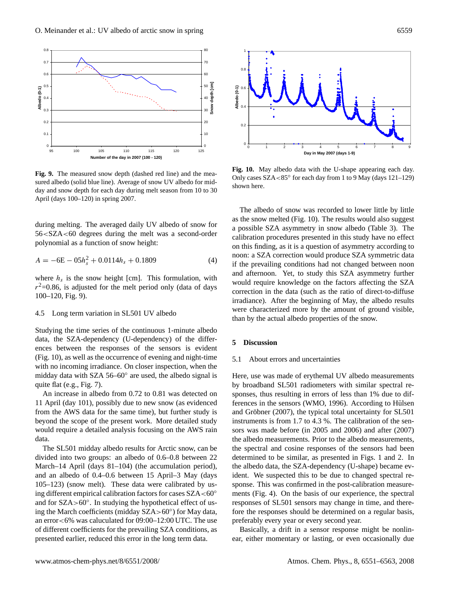

**Fig. 9.** The measured snow depth (dashed red line) and the measured albedo (solid blue line). Average of snow UV albedo for midday and snow depth for each day during melt season from 10 to 30 April (days 100–120) in spring 2007.

during melting. The averaged daily UV albedo of snow for 56<SZA<60 degrees during the melt was a second-order polynomial as a function of snow height:

$$
A = -6E - 05h_s^2 + 0.0114h_s + 0.1809
$$
\n(4)

where  $h_s$  is the snow height [cm]. This formulation, with  $r^2$ =0.86, is adjusted for the melt period only (data of days 100–120, Fig. 9).

# 4.5 Long term variation in SL501 UV albedo

Studying the time series of the continuous 1-minute albedo data, the SZA-dependency (U-dependency) of the differences between the responses of the sensors is evident (Fig. 10), as well as the occurrence of evening and night-time with no incoming irradiance. On closer inspection, when the midday data with SZA 56-60° are used, the albedo signal is quite flat (e.g., Fig. 7).

An increase in albedo from 0.72 to 0.81 was detected on 11 April (day 101), possibly due to new snow (as evidenced from the AWS data for the same time), but further study is beyond the scope of the present work. More detailed study would require a detailed analysis focusing on the AWS rain data.

The SL501 midday albedo results for Arctic snow, can be divided into two groups: an albedo of 0.6–0.8 between 22 March–14 April (days 81–104) (the accumulation period), and an albedo of 0.4–0.6 between 15 April–3 May (days 105–123) (snow melt). These data were calibrated by using different empirical calibration factors for cases  $SZA < 60°$ and for SZA>60◦ . In studying the hypothetical effect of using the March coefficients (midday SZA>60◦ ) for May data, an error<6% was caluculated for 09:00–12:00 UTC. The use of different coefficients for the prevailing SZA conditions, as presented earlier, reduced this error in the long term data.



**Fig. 10.** May albedo data with the U-shape appearing each day. Only cases SZA<85◦ for each day from 1 to 9 May (days 121–129) shown here.

The albedo of snow was recorded to lower little by little as the snow melted (Fig. 10). The results would also suggest a possible SZA asymmetry in snow albedo (Table 3). The calibration procedures presented in this study have no effect on this finding, as it is a question of asymmetry according to noon: a SZA correction would produce SZA symmetric data if the prevailing conditions had not changed between noon and afternoon. Yet, to study this SZA asymmetry further would require knowledge on the factors affecting the SZA correction in the data (such as the ratio of direct-to-diffuse irradiance). After the beginning of May, the albedo results were characterized more by the amount of ground visible, than by the actual albedo properties of the snow.

## **5 Discussion**

#### 5.1 About errors and uncertainties

Here, use was made of erythemal UV albedo measurements by broadband SL501 radiometers with similar spectral responses, thus resulting in errors of less than 1% due to differences in the sensors (WMO, 1996). According to Hülsen and Gröbner  $(2007)$ , the typical total uncertainty for SL501 instruments is from 1.7 to 4.3 %. The calibration of the sensors was made before (in 2005 and 2006) and after (2007) the albedo measurements. Prior to the albedo measurements, the spectral and cosine responses of the sensors had been determined to be similar, as presented in Figs. 1 and 2. In the albedo data, the SZA-dependency (U-shape) became evident. We suspected this to be due to changed spectral response. This was confirmed in the post-calibration measurements (Fig. 4). On the basis of our experience, the spectral responses of SL501 sensors may change in time, and therefore the responses should be determined on a regular basis, preferably every year or every second year.

Basically, a drift in a sensor response might be nonlinear, either momentary or lasting, or even occasionally due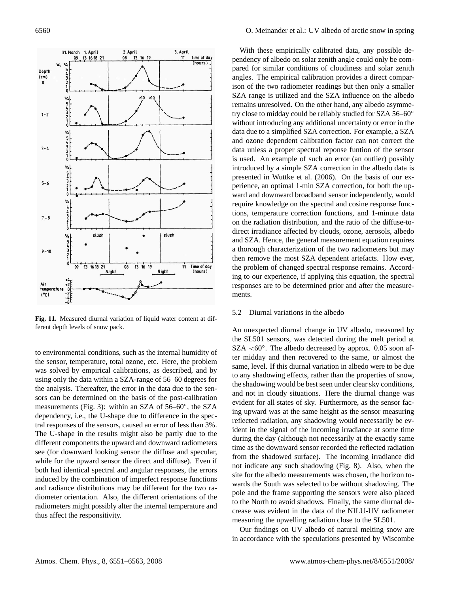

**Fig. 11.** Measured diurnal variation of liquid water content at different depth levels of snow pack.

to environmental conditions, such as the internal humidity of the sensor, temperature, total ozone, etc. Here, the problem was solved by empirical calibrations, as described, and by using only the data within a SZA-range of 56–60 degrees for the analysis. Thereafter, the error in the data due to the sensors can be determined on the basis of the post-calibration measurements (Fig. 3): within an SZA of 56–60°, the SZA dependency, i.e., the U-shape due to difference in the spectral responses of the sensors, caused an error of less than 3%. The U-shape in the results might also be partly due to the different components the upward and downward radiometers see (for downward looking sensor the diffuse and specular, while for the upward sensor the direct and diffuse). Even if both had identical spectral and angular responses, the errors induced by the combination of imperfect response functions and radiance distributions may be different for the two radiometer orientation. Also, the different orientations of the radiometers might possibly alter the internal temperature and thus affect the responsitivity.

With these empirically calibrated data, any possible dependency of albedo on solar zenith angle could only be compared for similar conditions of cloudiness and solar zenith angles. The empirical calibration provides a direct comparison of the two radiometer readings but then only a smaller SZA range is utilized and the SZA influence on the albedo remains unresolved. On the other hand, any albedo asymmetry close to midday could be reliably studied for SZA 56–60◦ without introducing any additional uncertainty or error in the data due to a simplified SZA correction. For example, a SZA and ozone dependent calibration factor can not correct the data unless a proper spectral reponse funtion of the sensor is used. An example of such an error (an outlier) possibly introduced by a simple SZA correction in the albedo data is presented in Wuttke et al. (2006). On the basis of our experience, an optimal 1-min SZA correction, for both the upward and downward broadband sensor independently, would require knowledge on the spectral and cosine response functions, temperature correction functions, and 1-minute data on the radiation distribution, and the ratio of the diffuse-todirect irradiance affected by clouds, ozone, aerosols, albedo and SZA. Hence, the general measurement equation requires a thorough characterization of the two radiometers but may then remove the most SZA dependent artefacts. How ever, the problem of changed spectral response remains. According to our experience, if applying this equation, the spectral responses are to be determined prior and after the measurements.

# 5.2 Diurnal variations in the albedo

An unexpected diurnal change in UV albedo, measured by the SL501 sensors, was detected during the melt period at SZA <60°. The albedo decreased by approx. 0.05 soon after midday and then recovered to the same, or almost the same, level. If this diurnal variation in albedo were to be due to any shadowing effects, rather than the properties of snow, the shadowing would be best seen under clear sky conditions, and not in cloudy situations. Here the diurnal change was evident for all states of sky. Furthermore, as the sensor facing upward was at the same height as the sensor measuring reflected radiation, any shadowing would necessarily be evident in the signal of the incoming irradiance at some time during the day (although not necessarily at the exactly same time as the downward sensor recorded the reflected radiation from the shadowed surface). The incoming irradiance did not indicate any such shadowing (Fig. 8). Also, when the site for the albedo measurements was chosen, the horizon towards the South was selected to be without shadowing. The pole and the frame supporting the sensors were also placed to the North to avoid shadows. Finally, the same diurnal decrease was evident in the data of the NILU-UV radiometer measuring the upwelling radiation close to the SL501.

Our findings on UV albedo of natural melting snow are in accordance with the speculations presented by Wiscombe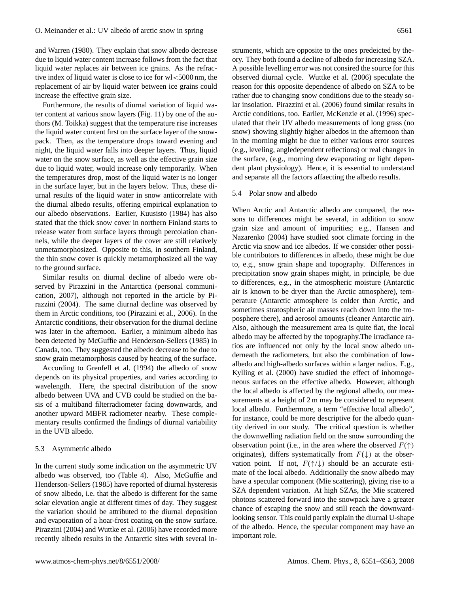and Warren (1980). They explain that snow albedo decrease due to liquid water content increase follows from the fact that liquid water replaces air between ice grains. As the refractive index of liquid water is close to ice for wl<5000 nm, the replacement of air by liquid water between ice grains could increase the effective grain size.

Furthermore, the results of diurnal variation of liquid water content at various snow layers (Fig. 11) by one of the authors (M. Toikka) suggest that the temperature rise increases the liquid water content first on the surface layer of the snowpack. Then, as the temperature drops toward evening and night, the liquid water falls into deeper layers. Thus, liquid water on the snow surface, as well as the effective grain size due to liquid water, would increase only temporarily. When the temperatures drop, most of the liquid water is no longer in the surface layer, but in the layers below. Thus, these diurnal results of the liquid water in snow anticorrelate with the diurnal albedo results, offering empirical explanation to our albedo observations. Earlier, Kuusisto (1984) has also stated that the thick snow cover in northern Finland starts to release water from surface layers through percolation channels, while the deeper layers of the cover are still relatively unmetamorphosized. Opposite to this, in southern Finland, the thin snow cover is quickly metamorphosized all the way to the ground surface.

Similar results on diurnal decline of albedo were observed by Pirazzini in the Antarctica (personal communication, 2007), although not reported in the article by Pirazzini (2004). The same diurnal decline was observed by them in Arctic conditions, too (Pirazzini et al., 2006). In the Antarctic conditions, their observation for the diurnal decline was later in the afternoon. Earlier, a minimum albedo has been detected by McGuffie and Henderson-Sellers (1985) in Canada, too. They suggested the albedo decrease to be due to snow grain metamorphosis caused by heating of the surface.

According to Grenfell et al. (1994) the albedo of snow depends on its physical properties, and varies according to wavelength. Here, the spectral distribution of the snow albedo between UVA and UVB could be studied on the basis of a multiband filterradiometer facing downwards, and another upward MBFR radiometer nearby. These complementary results confirmed the findings of diurnal variability in the UVB albedo.

## 5.3 Asymmetric albedo

In the current study some indication on the asymmetric UV albedo was observed, too (Table 4). Also, McGuffie and Henderson-Sellers (1985) have reported of diurnal hysteresis of snow albedo, i.e. that the albedo is different for the same solar elevation angle at different times of day. They suggest the variation should be attributed to the diurnal deposition and evaporation of a hoar-frost coating on the snow surface. Pirazzini (2004) and Wuttke et al. (2006) have recorded more recently albedo results in the Antarctic sites with several in-

struments, which are opposite to the ones predeicted by theory. They both found a decline of albedo for increasing SZA. A possible levelling error was not consired the source for this observed diurnal cycle. Wuttke et al. (2006) speculate the reason for this opposite dependence of albedo on SZA to be rather due to changing snow conditions due to the steady solar insolation. Pirazzini et al. (2006) found similar results in Arctic conditions, too. Earlier, McKenzie et al. (1996) speculated that their UV albedo measurements of long grass (no snow) showing slightly higher albedos in the afternoon than in the morning might be due to either various error sources (e.g., leveling, angledependent reflections) or real changes in the surface, (e.g., morning dew evaporating or light dependent plant physiology). Hence, it is essential to understand and separate all the factors affaecting the albedo results.

#### 5.4 Polar snow and albedo

When Arctic and Antarctic albedo are compared, the reasons to differences might be several, in addition to snow grain size and amount of impurities; e.g., Hansen and Nazarenko (2004) have studied soot climate forcing in the Arctic via snow and ice albedos. If we consider other possible contributors to differences in albedo, these might be due to, e.g., snow grain shape and topography. Differences in precipitation snow grain shapes might, in principle, be due to differences, e.g., in the atmospheric moisture (Antarctic air is known to be dryer than the Arctic atmosphere), temperature (Antarctic atmosphere is colder than Arctic, and sometimes stratospheric air masses reach down into the troposphere there), and aerosol amounts (cleaner Antarctic air). Also, although the measurement area is quite flat, the local albedo may be affected by the topography.The irradiance ratios are influenced not only by the local snow albedo underneath the radiometers, but also the combination of lowalbedo and high-albedo surfaces within a larger radius. E.g., Kylling et al. (2000) have studied the effect of inhomogeneous surfaces on the effective albedo. However, although the local albedo is affected by the regional albedo, our measurements at a height of 2 m may be considered to represent local albedo. Furthermore, a term "effective local albedo", for instance, could be more descriptive for the albedo quantity derived in our study. The critical question is whether the downwelling radiation field on the snow surrounding the observation point (i.e., in the area where the observed  $F(\uparrow)$ originates), differs systematically from  $F(\downarrow)$  at the observation point. If not,  $F(\uparrow/\downarrow)$  should be an accurate estimate of the local albedo. Additionally the snow albedo may have a specular component (Mie scattering), giving rise to a SZA dependent variation. At high SZAs, the Mie scattered photons scattered forward into the snowpack have a greater chance of escaping the snow and still reach the downwardlooking sensor. This could partly explain the diurnal U-shape of the albedo. Hence, the specular component may have an important role.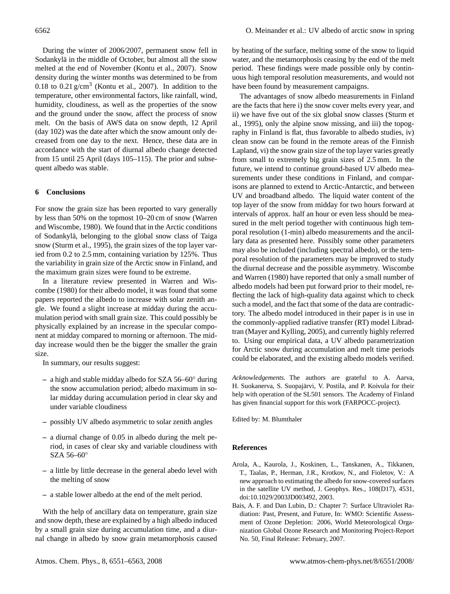During the winter of 2006/2007, permanent snow fell in Sodankylä in the middle of October, but almost all the snow melted at the end of November (Kontu et al., 2007). Snow density during the winter months was determined to be from 0.18 to 0.21  $g/cm<sup>3</sup>$  (Kontu et al., 2007). In addition to the temperature, other environmental factors, like rainfall, wind, humidity, cloudiness, as well as the properties of the snow and the ground under the snow, affect the process of snow melt. On the basis of AWS data on snow depth, 12 April (day 102) was the date after which the snow amount only decreased from one day to the next. Hence, these data are in accordance with the start of diurnal albedo change detected from 15 until 25 April (days 105–115). The prior and subsequent albedo was stable.

# **6 Conclusions**

For snow the grain size has been reported to vary generally by less than 50% on the topmost 10–20 cm of snow (Warren and Wiscombe, 1980). We found that in the Arctic conditions of Sodankyla, belonging to the global snow class of Taiga ¨ snow (Sturm et al., 1995), the grain sizes of the top layer varied from 0.2 to 2.5 mm, containing variation by 125%. Thus the variability in grain size of the Arctic snow in Finland, and the maximum grain sizes were found to be extreme.

In a literature review presented in Warren and Wiscombe (1980) for their albedo model, it was found that some papers reported the albedo to increase with solar zenith angle. We found a slight increase at midday during the accumulation period with small grain size. This could possibly be physically explained by an increase in the specular component at midday compared to morning or afternoon. The midday increase would then be the bigger the smaller the grain size.

In summary, our results suggest:

- **–** a high and stable midday albedo for SZA 56–60◦ during the snow accumulation period; albedo maximum in solar midday during accumulation period in clear sky and under variable cloudiness
- **–** possibly UV albedo asymmetric to solar zenith angles
- **–** a diurnal change of 0.05 in albedo during the melt period, in cases of clear sky and variable cloudiness with SZA 56–60◦
- **–** a little by little decrease in the general abedo level with the melting of snow
- **–** a stable lower albedo at the end of the melt period.

With the help of ancillary data on temperature, grain size and snow depth, these are explained by a high albedo induced by a small grain size during accumulation time, and a diurnal change in albedo by snow grain metamorphosis caused by heating of the surface, melting some of the snow to liquid water, and the metamorphosis ceasing by the end of the melt period. These findings were made possible only by continuous high temporal resolution measurements, and would not have been found by measurement campaigns.

The advantages of snow albedo measurements in Finland are the facts that here i) the snow cover melts every year, and ii) we have five out of the six global snow classes (Sturm et al., 1995), only the alpine snow missing, and iii) the topography in Finland is flat, thus favorable to albedo studies, iv) clean snow can be found in the remote areas of the Finnish Lapland, vi) the snow grain size of the top layer varies greatly from small to extremely big grain sizes of 2.5 mm. In the future, we intend to continue ground-based UV albedo measurements under these conditions in Finland, and comparisons are planned to extend to Arctic-Antarctic, and between UV and broadband albedo. The liquid water content of the top layer of the snow from midday for two hours forward at intervals of approx. half an hour or even less should be measured in the melt period together with continuous high temporal resolution (1-min) albedo measurements and the ancillary data as presented here. Possibly some other parameters may also be included (including spectral albedo), or the temporal resolution of the parameters may be improved to study the diurnal decrease and the possible asymmetry. Wiscombe and Warren (1980) have reported that only a small number of albedo models had been put forward prior to their model, reflecting the lack of high-quality data against which to check such a model, and the fact that some of the data are contradictory. The albedo model introduced in their paper is in use in the commonly-applied radiative transfer (RT) model Libradtran (Mayer and Kylling, 2005), and currently highly referred to. Using our empirical data, a UV albedo parametrization for Arctic snow during accumulation and melt time periods could be elaborated, and the existing albedo models verified.

*Acknowledgements.* The authors are grateful to A. Aarva, H. Suokanerva, S. Suopajärvi, V. Postila, and P. Koivula for their help with operation of the SL501 sensors. The Academy of Finland has given financial support for this work (FARPOCC-project).

Edited by: M. Blumthaler

# **References**

- Arola, A., Kaurola, J., Koskinen, L., Tanskanen, A., Tikkanen, T., Taalas, P., Herman, J.R., Krotkov, N., and Fioletov, V.: A new approach to estimating the albedo for snow-covered surfaces in the satellite UV method, J. Geophys. Res., 108(D17), 4531, doi:10.1029/2003JD003492, 2003.
- Bais, A. F. and Dan Lubin, D.: Chapter 7: Surface Ultraviolet Radiation: Past, Present, and Future, In: WMO: Scientific Assessment of Ozone Depletion: 2006, World Meteorological Organization Global Ozone Research and Monitoring Project-Report No. 50, Final Release: February, 2007.